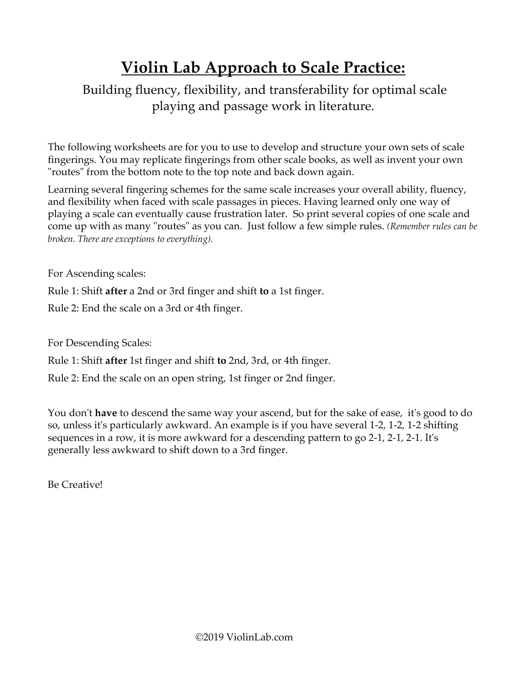## **Violin Lab Approach to Scale Practice:**

## Building fluency, flexibility, and transferability for optimal scale playing and passage work in literature.

The following worksheets are for you to use to develop and structure your own sets of scale fingerings. You may replicate fingerings from other scale books, as well as invent your own "routes" from the bottom note to the top note and back down again.

Learning several fingering schemes for the same scale increases your overall ability, fluency, and flexibility when faced with scale passages in pieces. Having learned only one way of playing a scale can eventually cause frustration later. So print several copies of one scale and come up with as many "routes" as you can. Just follow a few simple rules. *(Remember rules can be broken. There are exceptions to everything).*

For Ascending scales:

Rule 1: Shift **after** a 2nd or 3rd finger and shift **to** a 1st finger.

Rule 2: End the scale on a 3rd or 4th finger.

For Descending Scales:

Rule 1: Shift **after** 1st finger and shift **to** 2nd, 3rd, or 4th finger.

Rule 2: End the scale on an open string, 1st finger or 2nd finger.

You don't **have** to descend the same way your ascend, but for the sake of ease, it's good to do so, unless it's particularly awkward. An example is if you have several 1-2, 1-2, 1-2 shifting sequences in a row, it is more awkward for a descending pattern to go 2-1, 2-1, 2-1. It's generally less awkward to shift down to a 3rd finger.

Be Creative!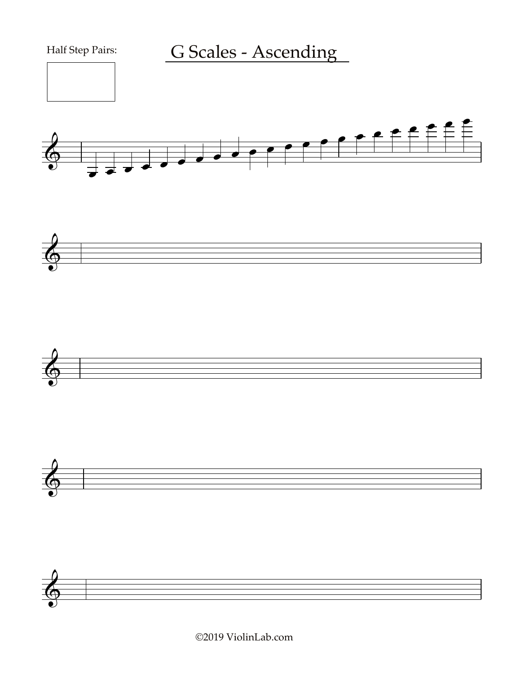







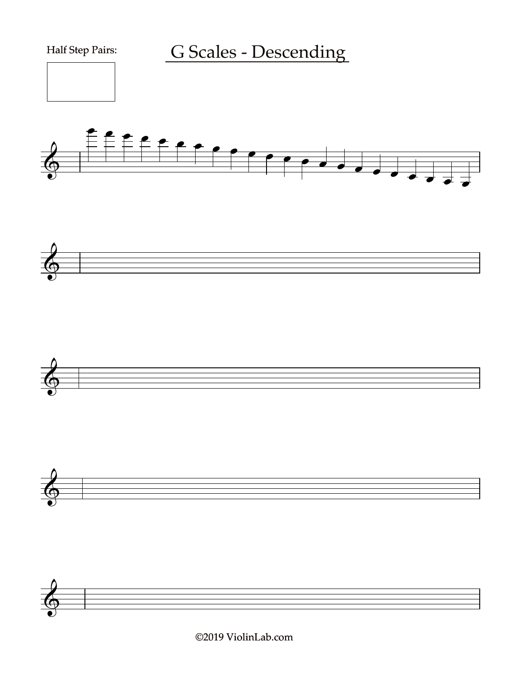



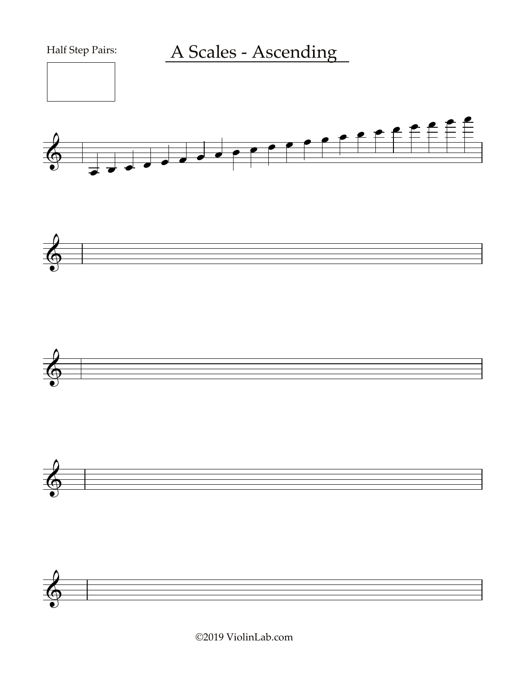







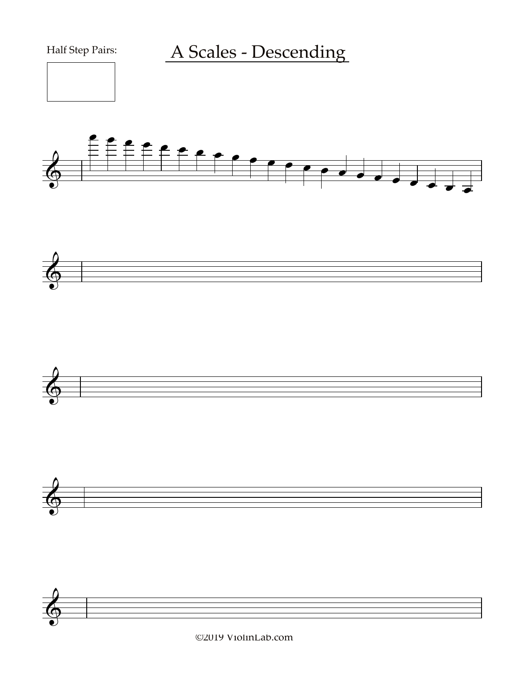







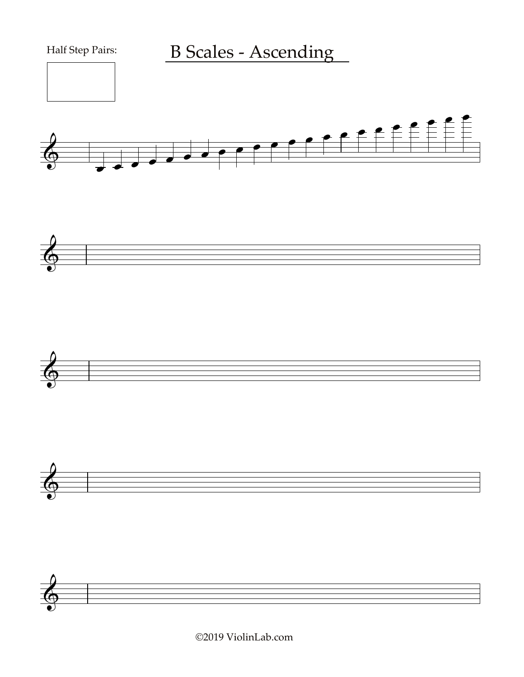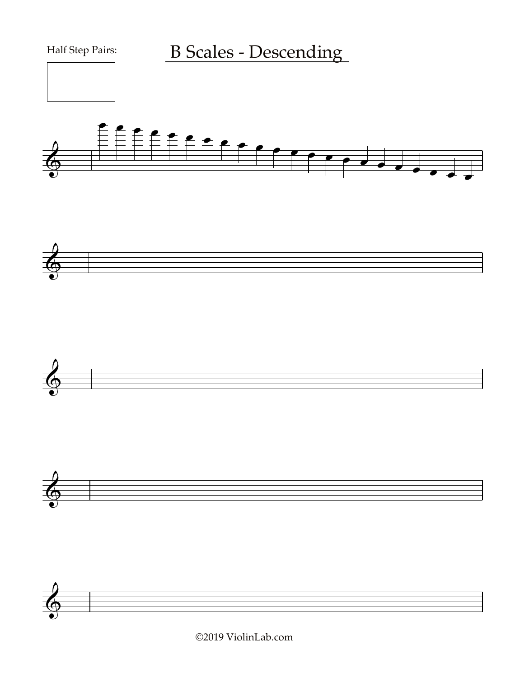







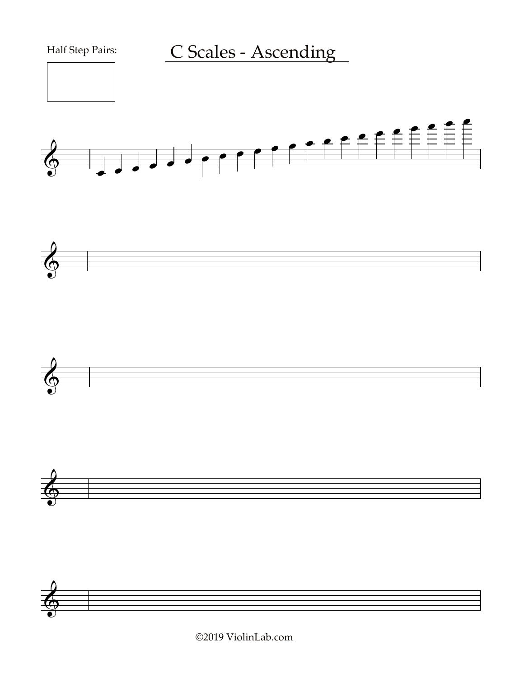







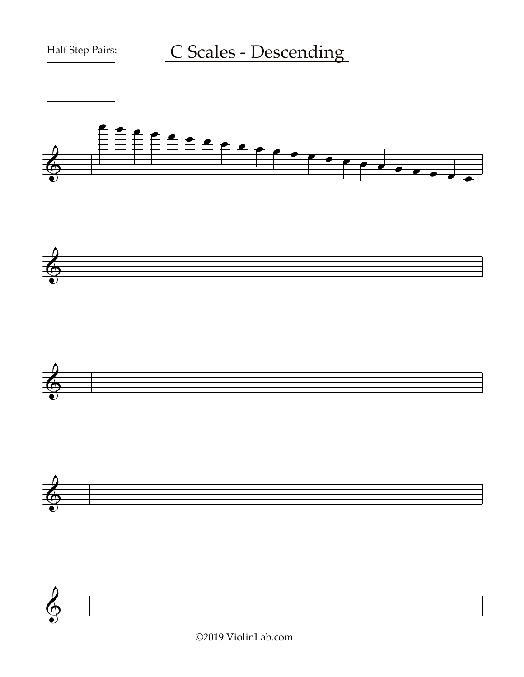Half Step Pairs:

C Scales - Descending











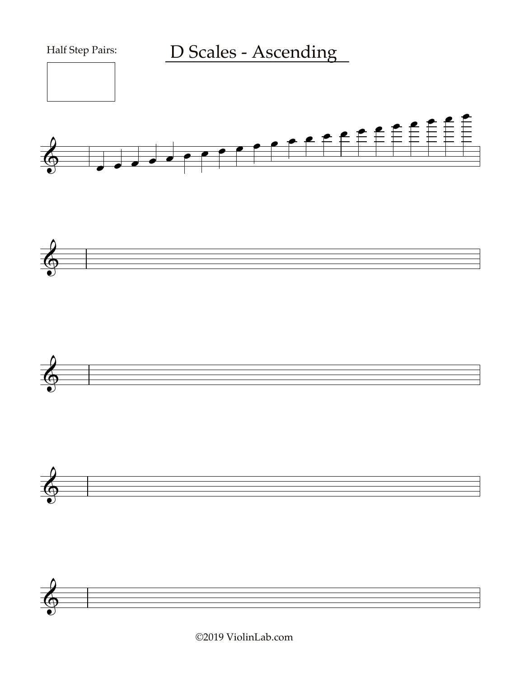







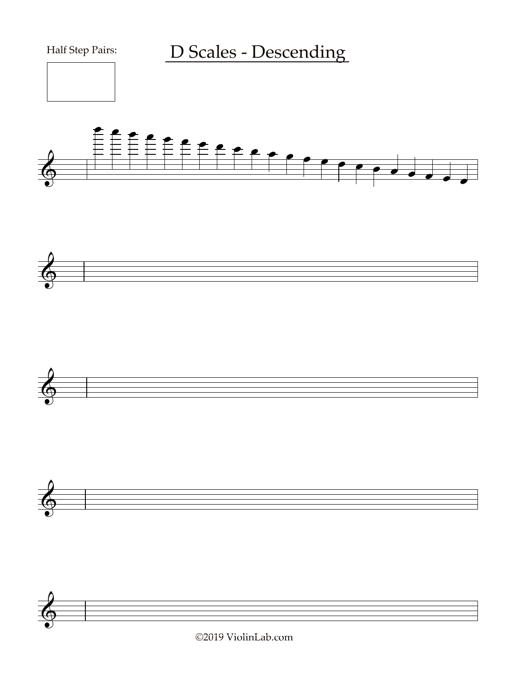





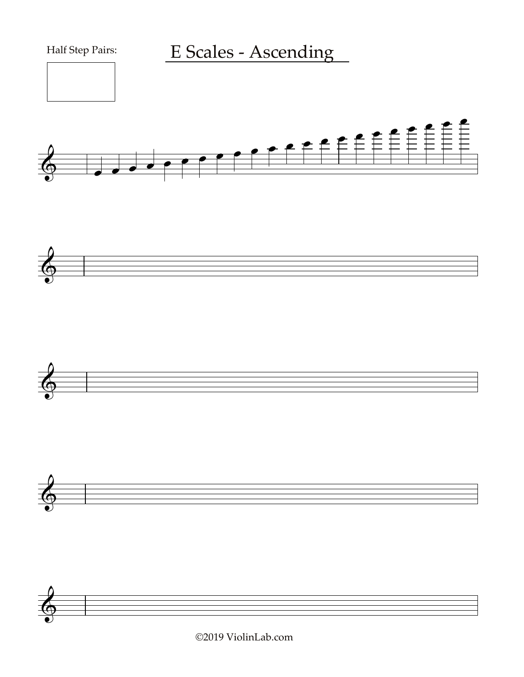







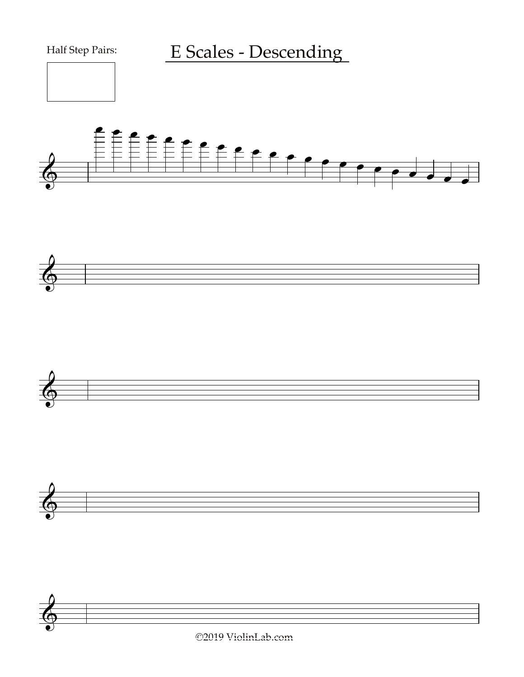Half Step Pairs:

E Scales - Descending











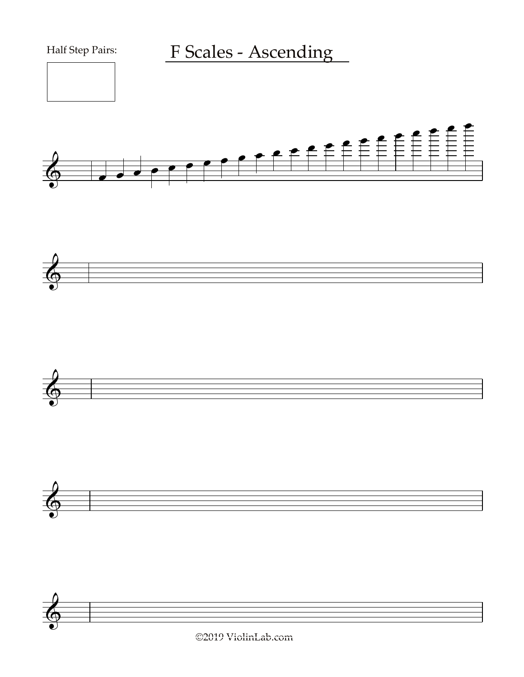